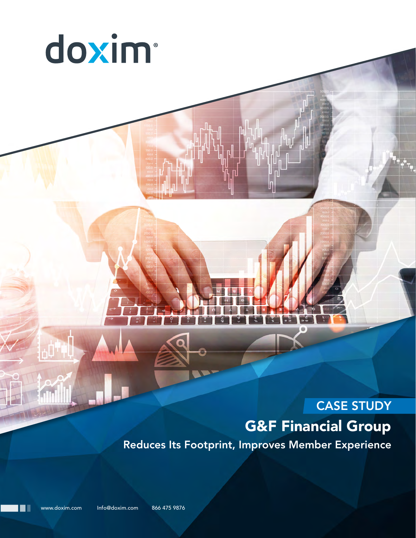

# CASE STUDY G&F Financial Group Reduces Its Footprint, Improves Member Experience

www.doxim.com Info@doxim.com 866 475 9876

∎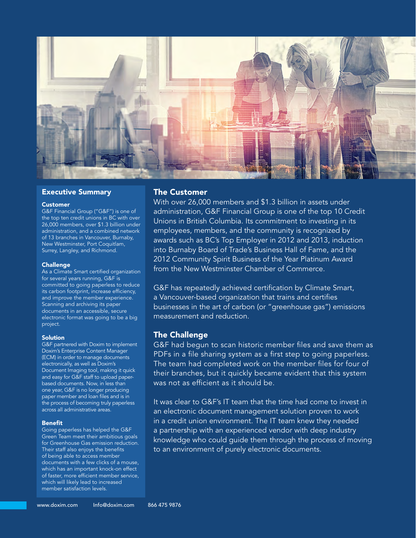

#### Executive Summary

#### Customer

G&F Financial Group ("G&F") is one of the top ten credit unions in BC with over 26,000 members, over \$1.3 billion under administration, and a combined network of 13 branches in Vancouver, Burnaby, New Westminster, Port Coquitlam, Surrey, Langley, and Richmond.

#### **Challenge**

As a Climate Smart certified organization for several years running, G&F is committed to going paperless to reduce its carbon footprint, increase efficiency, and improve the member experience. Scanning and archiving its paper documents in an accessible, secure electronic format was going to be a big project.

#### **Solution**

G&F partnered with Doxim to implement Doxim's Enterprise Content Manager (ECM) in order to manage documents electronically, as well as Doxim's Document Imaging tool, making it quick and easy for G&F staff to upload paperbased documents. Now, in less than one year, G&F is no longer producing paper member and loan files and is in the process of becoming truly paperless across all administrative areas.

#### Benefit

Going paperless has helped the G&F Green Team meet their ambitious goals for Greenhouse Gas emission reduction. Their staff also enjoys the benefits of being able to access member documents with a few clicks of a mouse, which has an important knock-on effect of faster, more efficient member service, which will likely lead to increased member satisfaction levels.

#### The Customer

With over 26,000 members and \$1.3 billion in assets under administration, G&F Financial Group is one of the top 10 Credit Unions in British Columbia. Its commitment to investing in its employees, members, and the community is recognized by awards such as BC's Top Employer in 2012 and 2013, induction into Burnaby Board of Trade's Business Hall of Fame, and the 2012 Community Spirit Business of the Year Platinum Award from the New Westminster Chamber of Commerce.

G&F has repeatedly achieved certification by Climate Smart, a Vancouver-based organization that trains and certifies businesses in the art of carbon (or "greenhouse gas") emissions measurement and reduction.

#### The Challenge

G&F had begun to scan historic member files and save them as PDFs in a file sharing system as a first step to going paperless. The team had completed work on the member files for four of their branches, but it quickly became evident that this system was not as efficient as it should be.

It was clear to G&F's IT team that the time had come to invest in an electronic document management solution proven to work in a credit union environment. The IT team knew they needed a partnership with an experienced vendor with deep industry knowledge who could guide them through the process of moving to an environment of purely electronic documents.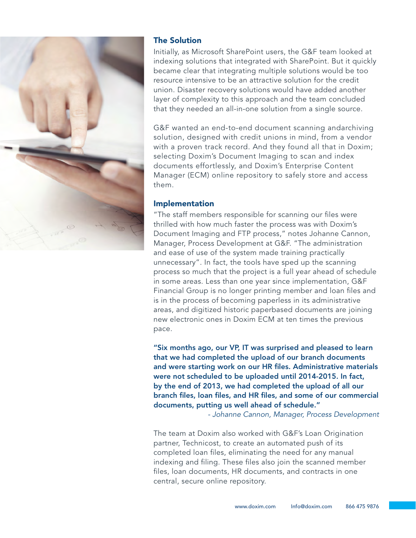

# The Solution

Initially, as Microsoft SharePoint users, the G&F team looked at indexing solutions that integrated with SharePoint. But it quickly became clear that integrating multiple solutions would be too resource intensive to be an attractive solution for the credit union. Disaster recovery solutions would have added another layer of complexity to this approach and the team concluded that they needed an all-in-one solution from a single source.

G&F wanted an end-to-end document scanning andarchiving solution, designed with credit unions in mind, from a vendor with a proven track record. And they found all that in Doxim; selecting Doxim's Document Imaging to scan and index documents effortlessly, and Doxim's Enterprise Content Manager (ECM) online repository to safely store and access them.

## Implementation

"The staff members responsible for scanning our files were thrilled with how much faster the process was with Doxim's Document Imaging and FTP process," notes Johanne Cannon, Manager, Process Development at G&F. "The administration and ease of use of the system made training practically unnecessary". In fact, the tools have sped up the scanning process so much that the project is a full year ahead of schedule in some areas. Less than one year since implementation, G&F Financial Group is no longer printing member and loan files and is in the process of becoming paperless in its administrative areas, and digitized historic paperbased documents are joining new electronic ones in Doxim ECM at ten times the previous pace.

"Six months ago, our VP, IT was surprised and pleased to learn that we had completed the upload of our branch documents and were starting work on our HR files. Administrative materials were not scheduled to be uploaded until 2014-2015. In fact, by the end of 2013, we had completed the upload of all our branch files, loan files, and HR files, and some of our commercial documents, putting us well ahead of schedule."

*- Johanne Cannon, Manager, Process Development*

The team at Doxim also worked with G&F's Loan Origination partner, Technicost, to create an automated push of its completed loan files, eliminating the need for any manual indexing and filing. These files also join the scanned member files, loan documents, HR documents, and contracts in one central, secure online repository.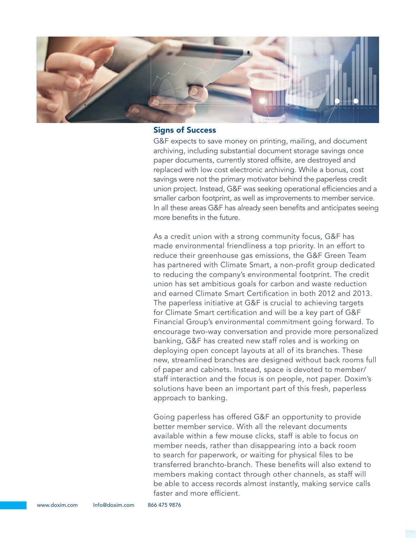

#### Signs of Success

G&F expects to save money on printing, mailing, and document archiving, including substantial document storage savings once paper documents, currently stored offsite, are destroyed and replaced with low cost electronic archiving. While a bonus, cost savings were not the primary motivator behind the paperless credit union project. Instead, G&F was seeking operational efficiencies and a smaller carbon footprint, as well as improvements to member service. In all these areas G&F has already seen benefits and anticipates seeing more benefits in the future.

As a credit union with a strong community focus, G&F has made environmental friendliness a top priority. In an effort to reduce their greenhouse gas emissions, the G&F Green Team has partnered with Climate Smart, a non-profit group dedicated to reducing the company's environmental footprint. The credit union has set ambitious goals for carbon and waste reduction and earned Climate Smart Certification in both 2012 and 2013. The paperless initiative at G&F is crucial to achieving targets for Climate Smart certification and will be a key part of G&F Financial Group's environmental commitment going forward. To encourage two-way conversation and provide more personalized banking, G&F has created new staff roles and is working on deploying open concept layouts at all of its branches. These new, streamlined branches are designed without back rooms full of paper and cabinets. Instead, space is devoted to member/ staff interaction and the focus is on people, not paper. Doxim's solutions have been an important part of this fresh, paperless approach to banking.

Going paperless has offered G&F an opportunity to provide better member service. With all the relevant documents available within a few mouse clicks, staff is able to focus on member needs, rather than disappearing into a back room to search for paperwork, or waiting for physical files to be transferred branchto-branch. These benefits will also extend to members making contact through other channels, as staff will be able to access records almost instantly, making service calls faster and more efficient.